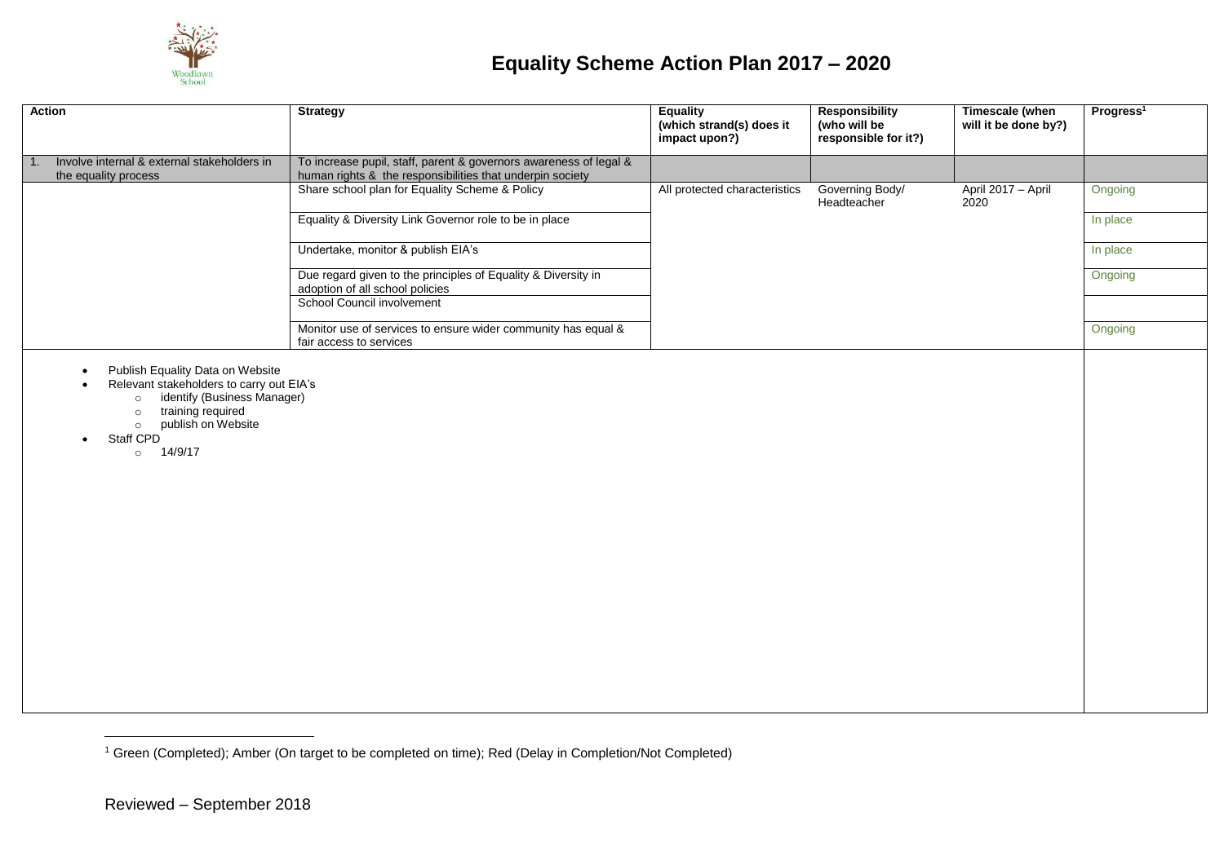

## **Equality Scheme Action Plan 2017 – 2020**

| <b>Action</b>                                                                                                                                                                                                                                     | <b>Strategy</b>                                                                                                                | <b>Equality</b><br>(which strand(s) does it<br>impact upon?) | <b>Responsibility</b><br>(who will be<br>responsible for it?) | <b>Timescale (when</b><br>will it be done by?) | Progress <sup>1</sup> |
|---------------------------------------------------------------------------------------------------------------------------------------------------------------------------------------------------------------------------------------------------|--------------------------------------------------------------------------------------------------------------------------------|--------------------------------------------------------------|---------------------------------------------------------------|------------------------------------------------|-----------------------|
| Involve internal & external stakeholders in<br>1.<br>the equality process                                                                                                                                                                         | To increase pupil, staff, parent & governors awareness of legal &<br>human rights & the responsibilities that underpin society |                                                              |                                                               |                                                |                       |
|                                                                                                                                                                                                                                                   | Share school plan for Equality Scheme & Policy                                                                                 | All protected characteristics                                | Governing Body/<br>Headteacher                                | April 2017 - April<br>2020                     | Ongoing               |
|                                                                                                                                                                                                                                                   | Equality & Diversity Link Governor role to be in place                                                                         |                                                              |                                                               |                                                | In place              |
|                                                                                                                                                                                                                                                   | Undertake, monitor & publish EIA's                                                                                             |                                                              |                                                               |                                                | In place              |
|                                                                                                                                                                                                                                                   | Due regard given to the principles of Equality & Diversity in<br>adoption of all school policies                               |                                                              |                                                               |                                                | Ongoing               |
|                                                                                                                                                                                                                                                   | School Council involvement                                                                                                     |                                                              |                                                               |                                                |                       |
|                                                                                                                                                                                                                                                   | Monitor use of services to ensure wider community has equal &<br>fair access to services                                       |                                                              |                                                               |                                                | Ongoing               |
| Publish Equality Data on Website<br>$\bullet$<br>Relevant stakeholders to carry out EIA's<br>identify (Business Manager)<br>$\circ$<br>training required<br>$\circ$<br>publish on Website<br>$\circ$<br>Staff CPD<br>$\bullet$<br>$\circ$ 14/9/17 |                                                                                                                                |                                                              |                                                               |                                                |                       |

<sup>1</sup> Green (Completed); Amber (On target to be completed on time); Red (Delay in Completion/Not Completed)

 $\overline{a}$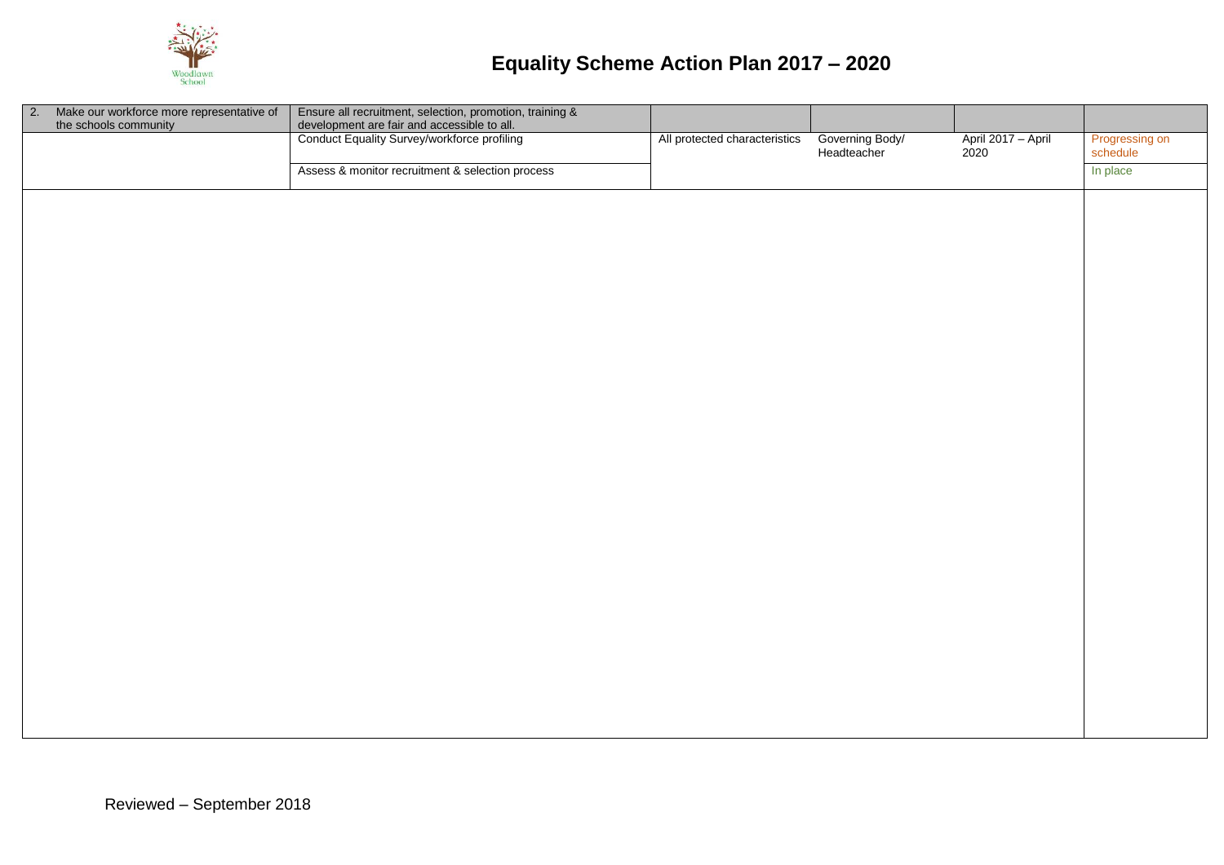

| 2. Make our workforce more representative of<br>the schools community | Ensure all recruitment, selection, promotion, training &<br>development are fair and accessible to all.<br>Conduct Equality Survey/workforce profiling |                               |                                |                            |                            |
|-----------------------------------------------------------------------|--------------------------------------------------------------------------------------------------------------------------------------------------------|-------------------------------|--------------------------------|----------------------------|----------------------------|
|                                                                       |                                                                                                                                                        | All protected characteristics | Governing Body/<br>Headteacher | April 2017 - April<br>2020 | Progressing on<br>schedule |
|                                                                       | Assess & monitor recruitment & selection process                                                                                                       |                               |                                |                            | In place                   |
|                                                                       |                                                                                                                                                        |                               |                                |                            |                            |
|                                                                       |                                                                                                                                                        |                               |                                |                            |                            |
|                                                                       |                                                                                                                                                        |                               |                                |                            |                            |
|                                                                       |                                                                                                                                                        |                               |                                |                            |                            |
|                                                                       |                                                                                                                                                        |                               |                                |                            |                            |
|                                                                       |                                                                                                                                                        |                               |                                |                            |                            |
|                                                                       |                                                                                                                                                        |                               |                                |                            |                            |
|                                                                       |                                                                                                                                                        |                               |                                |                            |                            |
|                                                                       |                                                                                                                                                        |                               |                                |                            |                            |
|                                                                       |                                                                                                                                                        |                               |                                |                            |                            |
|                                                                       |                                                                                                                                                        |                               |                                |                            |                            |
|                                                                       |                                                                                                                                                        |                               |                                |                            |                            |
|                                                                       |                                                                                                                                                        |                               |                                |                            |                            |
|                                                                       |                                                                                                                                                        |                               |                                |                            |                            |
|                                                                       |                                                                                                                                                        |                               |                                |                            |                            |
|                                                                       |                                                                                                                                                        |                               |                                |                            |                            |
|                                                                       |                                                                                                                                                        |                               |                                |                            |                            |
|                                                                       |                                                                                                                                                        |                               |                                |                            |                            |
|                                                                       |                                                                                                                                                        |                               |                                |                            |                            |
|                                                                       |                                                                                                                                                        |                               |                                |                            |                            |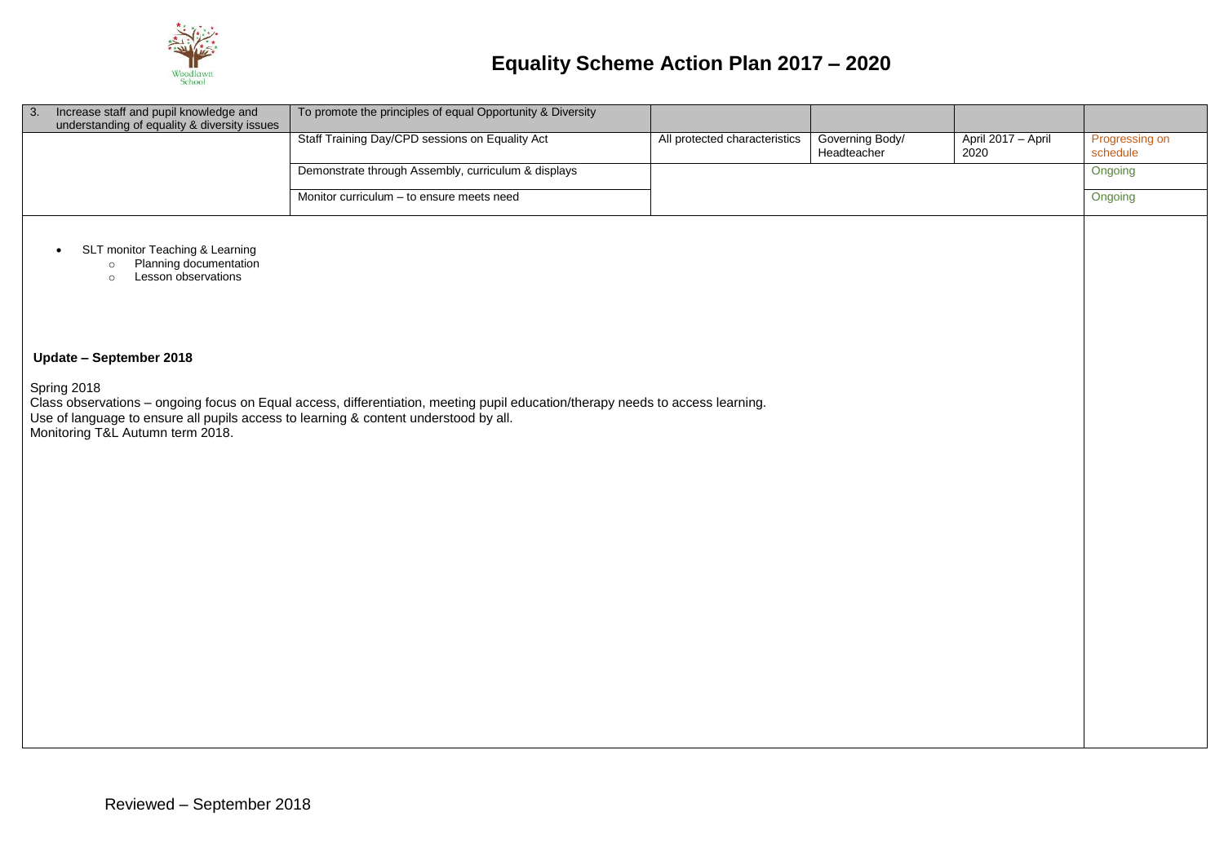

| $\sqrt{3}$ .<br>Increase staff and pupil knowledge and                                                                                  | To promote the principles of equal Opportunity & Diversity                                                                     |                               |                                |                            |                            |
|-----------------------------------------------------------------------------------------------------------------------------------------|--------------------------------------------------------------------------------------------------------------------------------|-------------------------------|--------------------------------|----------------------------|----------------------------|
| understanding of equality & diversity issues                                                                                            |                                                                                                                                |                               |                                |                            |                            |
|                                                                                                                                         | Staff Training Day/CPD sessions on Equality Act                                                                                | All protected characteristics | Governing Body/<br>Headteacher | April 2017 - April<br>2020 | Progressing on<br>schedule |
|                                                                                                                                         | Demonstrate through Assembly, curriculum & displays                                                                            |                               |                                |                            | Ongoing                    |
|                                                                                                                                         | Monitor curriculum - to ensure meets need                                                                                      |                               |                                |                            | Ongoing                    |
| SLT monitor Teaching & Learning<br>$\bullet$<br>Planning documentation<br>$\circ$<br>Lesson observations<br>$\circ$                     |                                                                                                                                |                               |                                |                            |                            |
| Update - September 2018                                                                                                                 |                                                                                                                                |                               |                                |                            |                            |
| Spring 2018<br>Use of language to ensure all pupils access to learning & content understood by all.<br>Monitoring T&L Autumn term 2018. | Class observations - ongoing focus on Equal access, differentiation, meeting pupil education/therapy needs to access learning. |                               |                                |                            |                            |
|                                                                                                                                         |                                                                                                                                |                               |                                |                            |                            |